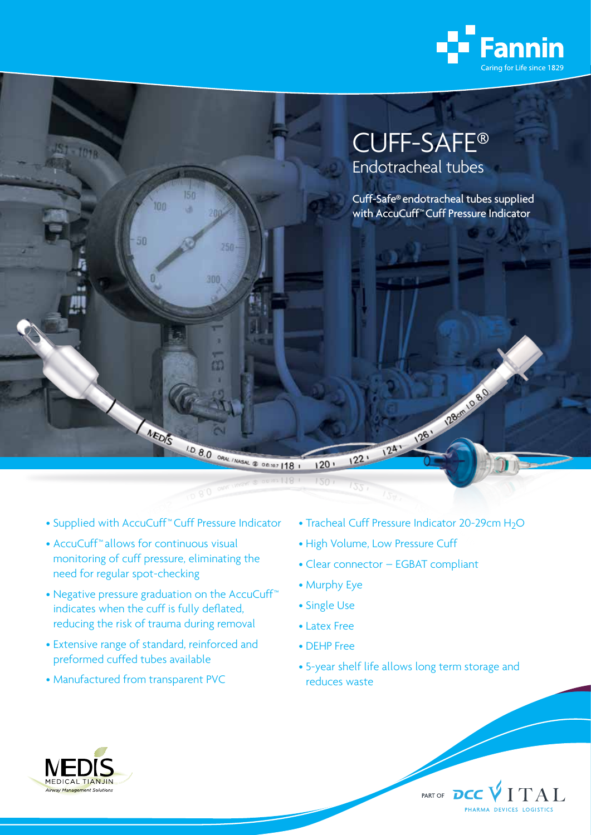

# CUFF-SAFE® Endotracheal tubes

Cuff-Safe® endotracheal tubes supplied with AccuCuff™ Cuff Pressure Indicator

• Supplied with AccuCuff™ Cuff Pressure Indicator

MEDIS

 $150$ 

a

256

 $300$ 

的

1.0.8.0 ORN / MASAL @ OR NOT | 18 1

 $100<sub>10</sub>$ 

50

- AccuCuff™ allows for continuous visual monitoring of cuff pressure, eliminating the need for regular spot-checking
- Negative pressure graduation on the AccuCuff™ indicates when the cuff is fully deflated, reducing the risk of trauma during removal
- Extensive range of standard, reinforced and preformed cuffed tubes available
- Manufactured from transparent PVC

• Tracheal Cuff Pressure Indicator 20-29cm H<sub>2</sub>O

241 - 261 - 224 - 234

• High Volume, Low Pressure Cuff

 $122'$ 

- Clear connector EGBAT compliant
- Murphy Eye

 $120:$  $150$ 

- Single Use
- Latex Free
- DEHP Free
- 5-year shelf life allows long term storage and reduces waste

PART OF DCC VITAL

PHARMA DEVICES LOGISTICS



**IOTR**